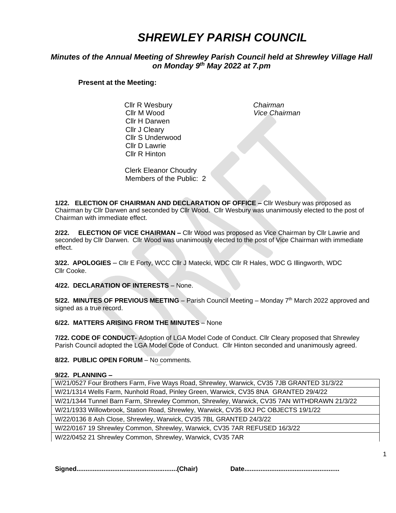# *SHREWLEY PARISH COUNCIL*

# *Minutes of the Annual Meeting of Shrewley Parish Council held at Shrewley Village Hall on Monday 9 th May 2022 at 7.pm*

# **Present at the Meeting:**

 Cllr R Wesbury *Chairman* Cllr M Wood *Vice Chairman* Cllr H Darwen Cllr J Cleary Cllr S Underwood Cllr D Lawrie Cllr R Hinton

Clerk Eleanor Choudry Members of the Public: 2

**1/22. ELECTION OF CHAIRMAN AND DECLARATION OF OFFICE –** Cllr Wesbury was proposed as Chairman by Cllr Darwen and seconded by Cllr Wood. Cllr Wesbury was unanimously elected to the post of Chairman with immediate effect.

**2/22. ELECTION OF VICE CHAIRMAN –** Cllr Wood was proposed as Vice Chairman by Cllr Lawrie and seconded by Cllr Darwen. Cllr Wood was unanimously elected to the post of Vice Chairman with immediate effect.

 **3/22. APOLOGIES** – Cllr E Forty, WCC Cllr J Matecki, WDC Cllr R Hales, WDC G Illingworth, WDC Cllr Cooke.

**4/22. DECLARATION OF INTERESTS** – None.

5/22. MINUTES OF PREVIOUS MEETING - Parish Council Meeting - Monday 7<sup>th</sup> March 2022 approved and signed as a true record.

**6/22. MATTERS ARISING FROM THE MINUTES** – None

**7/22. CODE OF CONDUCT-** Adoption of LGA Model Code of Conduct. Cllr Cleary proposed that Shrewley Parish Council adopted the LGA Model Code of Conduct. Cllr Hinton seconded and unanimously agreed.

#### **8/22. PUBLIC OPEN FORUM** – No comments.

#### **9/22. PLANNING –**

| W/21/0527 Four Brothers Farm, Five Ways Road, Shrewley, Warwick, CV35 7JB GRANTED 31/3/22  |
|--------------------------------------------------------------------------------------------|
| W/21/1314 Wells Farm, Nunhold Road, Pinley Green, Warwick, CV35 8NA GRANTED 29/4/22        |
| W/21/1344 Tunnel Barn Farm, Shrewley Common, Shrewley, Warwick, CV35 7AN WITHDRAWN 21/3/22 |
| W/21/1933 Willowbrook, Station Road, Shrewley, Warwick, CV35 8XJ PC OBJECTS 19/1/22        |
| W/22/0136 8 Ash Close, Shrewley, Warwick, CV35 7BL GRANTED 24/3/22                         |
| W/22/0167 19 Shrewley Common, Shrewley, Warwick, CV35 7AR REFUSED 16/3/22                  |
| W/22/0452 21 Shrewley Common, Shrewley, Warwick, CV35 7AR                                  |

W/22/0452 21 Shrewley Common, Shrewley, Warwick, CV35 7AR

**Signed........................................................(Chair) Date.....................................................**

1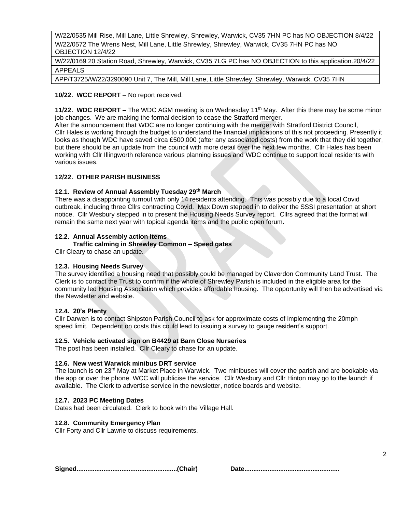W/22/0535 Mill Rise, Mill Lane, Little Shrewley, Shrewley, Warwick, CV35 7HN PC has NO OBJECTION 8/4/22 W/22/0572 The Wrens Nest, Mill Lane, Little Shrewley, Shrewley, Warwick, CV35 7HN PC has NO OBJECTION 12/4/22

W/22/0169 20 Station Road, Shrewley, Warwick, CV35 7LG PC has NO OBJECTION to this application.20/4/22 APPEALS

APP/T3725/W/22/3290090 Unit 7, The Mill, Mill Lane, Little Shrewley, Shrewley, Warwick, CV35 7HN

# **10/22. WCC REPORT** – No report received.

**11/22. WDC REPORT –** The WDC AGM meeting is on Wednesday 11<sup>th</sup> May. After this there may be some minor job changes. We are making the formal decision to cease the Stratford merger.

After the announcement that WDC are no longer continuing with the merger with Stratford District Council, Cllr Hales is working through the budget to understand the financial implications of this not proceeding. Presently it looks as though WDC have saved circa £500,000 (after any associated costs) from the work that they did together, but there should be an update from the council with more detail over the next few months. Cllr Hales has been working with Cllr Illingworth reference various planning issues and WDC continue to support local residents with various issues.

# **12/22. OTHER PARISH BUSINESS**

# **12.1. Review of Annual Assembly Tuesday 29th March**

There was a disappointing turnout with only 14 residents attending. This was possibly due to a local Covid outbreak, including three Cllrs contracting Covid. Max Down stepped in to deliver the SSSI presentation at short notice. Cllr Wesbury stepped in to present the Housing Needs Survey report. Cllrs agreed that the format will remain the same next year with topical agenda items and the public open forum.

# **12.2. Annual Assembly action items**

 **Traffic calming in Shrewley Common – Speed gates**

Cllr Cleary to chase an update.

#### **12.3. Housing Needs Survey**

The survey identified a housing need that possibly could be managed by Claverdon Community Land Trust. The Clerk is to contact the Trust to confirm if the whole of Shrewley Parish is included in the eligible area for the community led Housing Association which provides affordable housing. The opportunity will then be advertised via the Newsletter and website.

#### **12.4. 20's Plenty**

Cllr Darwen is to contact Shipston Parish Council to ask for approximate costs of implementing the 20mph speed limit. Dependent on costs this could lead to issuing a survey to gauge resident's support.

#### **12.5. Vehicle activated sign on B4429 at Barn Close Nurseries**

The post has been installed. Cllr Cleary to chase for an update.

#### **12.6. New west Warwick minibus DRT service**

The launch is on 23<sup>rd</sup> May at Market Place in Warwick. Two minibuses will cover the parish and are bookable via the app or over the phone. WCC will publicise the service. Cllr Wesbury and Cllr Hinton may go to the launch if available. The Clerk to advertise service in the newsletter, notice boards and website.

#### **12.7. 2023 PC Meeting Dates**

Dates had been circulated. Clerk to book with the Village Hall.

#### **12.8. Community Emergency Plan**

Cllr Forty and Cllr Lawrie to discuss requirements.

**Signed........................................................(Chair) Date.....................................................**

|--|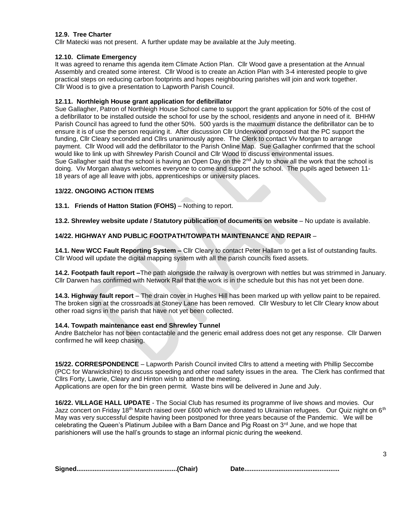#### **12.9. Tree Charter**

Cllr Matecki was not present. A further update may be available at the July meeting.

## **12.10. Climate Emergency**

It was agreed to rename this agenda item Climate Action Plan. Cllr Wood gave a presentation at the Annual Assembly and created some interest. Cllr Wood is to create an Action Plan with 3-4 interested people to give practical steps on reducing carbon footprints and hopes neighbouring parishes will join and work together. Cllr Wood is to give a presentation to Lapworth Parish Council.

# **12.11. Northleigh House grant application for defibrillator**

Sue Gallagher, Patron of Northleigh House School came to support the grant application for 50% of the cost of a defibrillator to be installed outside the school for use by the school, residents and anyone in need of it. BHHW Parish Council has agreed to fund the other 50%. 500 yards is the maximum distance the defibrillator can be to ensure it is of use the person requiring it. After discussion Cllr Underwood proposed that the PC support the funding, Cllr Cleary seconded and Cllrs unanimously agree. The Clerk to contact Viv Morgan to arrange payment. Cllr Wood will add the defibrillator to the Parish Online Map. Sue Gallagher confirmed that the school would like to link up with Shrewley Parish Council and Cllr Wood to discuss environmental issues. Sue Gallagher said that the school is having an Open Day on the  $2<sup>nd</sup>$  July to show all the work that the school is doing. Viv Morgan always welcomes everyone to come and support the school. The pupils aged between 11- 18 years of age all leave with jobs, apprenticeships or university places.

# **13/22. ONGOING ACTION ITEMS**

**13.1. Friends of Hatton Station (FOHS)** – Nothing to report.

**13.2. Shrewley website update / Statutory publication of documents on website** – No update is available.

# **14/22. HIGHWAY AND PUBLIC FOOTPATH/TOWPATH MAINTENANCE AND REPAIR** –

**14.1. New WCC Fault Reporting System –** Cllr Cleary to contact Peter Hallam to get a list of outstanding faults. Cllr Wood will update the digital mapping system with all the parish councils fixed assets.

**14.2. Footpath fault report –**The path alongside the railway is overgrown with nettles but was strimmed in January. Cllr Darwen has confirmed with Network Rail that the work is in the schedule but this has not yet been done.

**14.3. Highway fault report** – The drain cover in Hughes Hill has been marked up with yellow paint to be repaired. The broken sign at the crossroads at Stoney Lane has been removed. Cllr Wesbury to let Cllr Cleary know about other road signs in the parish that have not yet been collected.

#### **14.4. Towpath maintenance east end Shrewley Tunnel**

Andre Batchelor has not been contactable and the generic email address does not get any response. Cllr Darwen confirmed he will keep chasing.

**15/22. CORRESPONDENCE** – Lapworth Parish Council invited Cllrs to attend a meeting with Phillip Seccombe (PCC for Warwickshire) to discuss speeding and other road safety issues in the area. The Clerk has confirmed that Cllrs Forty, Lawrie, Cleary and Hinton wish to attend the meeting. Applications are open for the bin green permit. Waste bins will be delivered in June and July.

**16/22. VILLAGE HALL UPDATE** - The Social Club has resumed its programme of live shows and movies. Our Jazz concert on Friday 18<sup>th</sup> March raised over £600 which we donated to Ukrainian refugees. Our Quiz night on 6<sup>th</sup> May was very successful despite having been postponed for three years because of the Pandemic. We will be celebrating the Queen's Platinum Jubilee with a Barn Dance and Pig Roast on  $3<sup>rd</sup>$  June, and we hope that parishioners will use the hall's grounds to stage an informal picnic during the weekend.

|--|--|

|--|